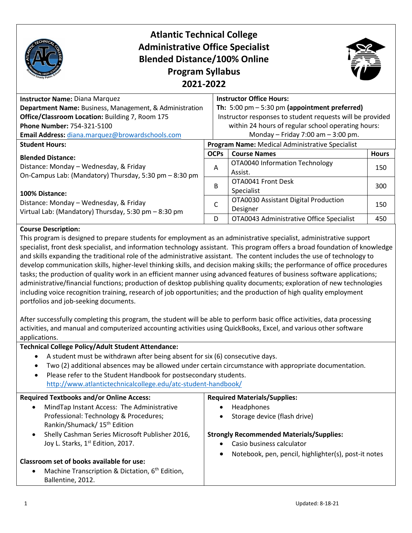

# **Atlantic Technical College Administrative Office Specialist Blended Distance/100% Online Program Syllabus 2021-2022**



| Instructor Name: Diana Marquez                                                                                                                                                                                                                                       |             | <b>Instructor Office Hours:</b>                                 |              |  |
|----------------------------------------------------------------------------------------------------------------------------------------------------------------------------------------------------------------------------------------------------------------------|-------------|-----------------------------------------------------------------|--------------|--|
| Department Name: Business, Management, & Administration                                                                                                                                                                                                              |             | Th: $5:00 \text{ pm} - 5:30 \text{ pm}$ (appointment preferred) |              |  |
| Office/Classroom Location: Building 7, Room 175                                                                                                                                                                                                                      |             | Instructor responses to student requests will be provided       |              |  |
| <b>Phone Number: 754-321-5100</b>                                                                                                                                                                                                                                    |             | within 24 hours of regular school operating hours:              |              |  |
| Email Address: diana.marquez@browardschools.com                                                                                                                                                                                                                      |             | Monday - Friday 7:00 am $-$ 3:00 pm.                            |              |  |
| <b>Student Hours:</b>                                                                                                                                                                                                                                                |             | <b>Program Name: Medical Administrative Specialist</b>          |              |  |
| <b>Blended Distance:</b><br>Distance: Monday - Wednesday, & Friday<br>A<br>On-Campus Lab: (Mandatory) Thursday, 5:30 pm - 8:30 pm<br>B<br>100% Distance:<br>Distance: Monday - Wednesday, & Friday<br>C<br>Virtual Lab: (Mandatory) Thursday, 5:30 pm - 8:30 pm<br>D | <b>OCPs</b> | <b>Course Names</b>                                             | <b>Hours</b> |  |
|                                                                                                                                                                                                                                                                      |             | OTA0040 Information Technology                                  | 150          |  |
|                                                                                                                                                                                                                                                                      |             | Assist.                                                         |              |  |
|                                                                                                                                                                                                                                                                      |             | OTA0041 Front Desk                                              | 300          |  |
|                                                                                                                                                                                                                                                                      |             | Specialist                                                      |              |  |
|                                                                                                                                                                                                                                                                      |             | OTA0030 Assistant Digital Production                            | 150          |  |
|                                                                                                                                                                                                                                                                      |             | Designer                                                        |              |  |
|                                                                                                                                                                                                                                                                      |             | OTA0043 Administrative Office Specialist                        | 450          |  |

#### **Course Description:**

This program is designed to prepare students for employment as an administrative specialist, administrative support specialist, front desk specialist, and information technology assistant. This program offers a broad foundation of knowledge and skills expanding the traditional role of the administrative assistant. The content includes the use of technology to develop communication skills, higher-level thinking skills, and decision making skills; the performance of office procedures tasks; the production of quality work in an efficient manner using advanced features of business software applications; administrative/financial functions; production of desktop publishing quality documents; exploration of new technologies including voice recognition training, research of job opportunities; and the production of high quality employment portfolios and job-seeking documents.

After successfully completing this program, the student will be able to perform basic office activities, data processing activities, and manual and computerized accounting activities using QuickBooks, Excel, and various other software applications.

#### **Technical College Policy/Adult Student Attendance:**

- A student must be withdrawn after being absent for six (6) consecutive days.
- Two (2) additional absences may be allowed under certain circumstance with appropriate documentation.
- Please refer to the Student Handbook for postsecondary students. <http://www.atlantictechnicalcollege.edu/atc-student-handbook/>

| <b>Required Textbooks and/or Online Access:</b>                          | <b>Required Materials/Supplies:</b>                               |
|--------------------------------------------------------------------------|-------------------------------------------------------------------|
| MindTap Instant Access: The Administrative                               | Headphones                                                        |
| Professional: Technology & Procedures;                                   | Storage device (flash drive)                                      |
| Rankin/Shumack/ 15 <sup>th</sup> Edition                                 |                                                                   |
| Shelly Cashman Series Microsoft Publisher 2016,                          | <b>Strongly Recommended Materials/Supplies:</b>                   |
| Joy L. Starks, 1st Edition, 2017.                                        | Casio business calculator                                         |
|                                                                          | Notebook, pen, pencil, highlighter(s), post-it notes<br>$\bullet$ |
| Classroom set of books available for use:                                |                                                                   |
| Machine Transcription & Dictation, 6 <sup>th</sup> Edition,<br>$\bullet$ |                                                                   |
| Ballentine, 2012.                                                        |                                                                   |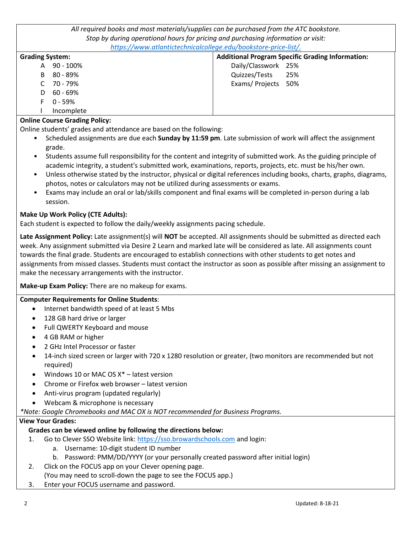*All required books and most materials/supplies can be purchased from the ATC bookstore. Stop by during operational hours for pricing and purchasing information or visit: [https://www.atlantictechnicalcollege.edu/bookstore-price-list/.](https://www.atlantictechnicalcollege.edu/bookstore-price-list/)* 

| <u>maps, www.accamecommodicum.camecommodistic price may:</u> |                                                         |  |
|--------------------------------------------------------------|---------------------------------------------------------|--|
| <b>Grading System:</b>                                       | <b>Additional Program Specific Grading Information:</b> |  |
| 90 - 100%<br>A                                               | Daily/Classwork 25%                                     |  |
| 80 - 89%<br>B                                                | Quizzes/Tests<br>25%                                    |  |
| $C$ 70 - 79%                                                 | Exams/Projects 50%                                      |  |
| 60 - 69%<br>D.                                               |                                                         |  |
| $0 - 59%$<br>F.                                              |                                                         |  |
| Incomplete                                                   |                                                         |  |

#### **Online Course Grading Policy:**

Online students' grades and attendance are based on the following:

- Scheduled assignments are due each **Sunday by 11:59 pm**. Late submission of work will affect the assignment grade.
- Students assume full responsibility for the content and integrity of submitted work. As the guiding principle of academic integrity, a student's submitted work, examinations, reports, projects, etc. must be his/her own.
- Unless otherwise stated by the instructor, physical or digital references including books, charts, graphs, diagrams, photos, notes or calculators may not be utilized during assessments or exams.
- Exams may include an oral or lab/skills component and final exams will be completed in-person during a lab session.

#### **Make Up Work Policy (CTE Adults):**

Each student is expected to follow the daily/weekly assignments pacing schedule.

**Late Assignment Policy:** Late assignment(s) will **NOT** be accepted. All assignments should be submitted as directed each week. Any assignment submitted via Desire 2 Learn and marked late will be considered as late. All assignments count towards the final grade. Students are encouraged to establish connections with other students to get notes and assignments from missed classes. Students must contact the instructor as soon as possible after missing an assignment to make the necessary arrangements with the instructor.

**Make-up Exam Policy:** There are no makeup for exams.

#### **Computer Requirements for Online Students**:

- Internet bandwidth speed of at least 5 Mbs
- 128 GB hard drive or larger
- Full QWERTY Keyboard and mouse
- 4 GB RAM or higher
- 2 GHz Intel Processor or faster
- 14-inch sized screen or larger with 720 x 1280 resolution or greater, (two monitors are recommended but not required)
- Windows 10 or MAC OS X\* latest version
- Chrome or Firefox web browser latest version
- Anti-virus program (updated regularly)
- Webcam & microphone is necessary

#### *\*Note: Google Chromebooks and MAC OX is NOT recommended for Business Programs.*

#### **View Your Grades:**

#### **Grades can be viewed online by following the directions below:**

- 1. Go to Clever SSO Website link: [https://sso.browardschools.com](https://sso.browardschools.com/) and login:
	- a. Username: 10-digit student ID number
	- b. Password: PMM/DD/YYYY (or your personally created password after initial login)
- 2. Click on the FOCUS app on your Clever opening page.
- (You may need to scroll-down the page to see the FOCUS app.)
- 3. Enter your FOCUS username and password.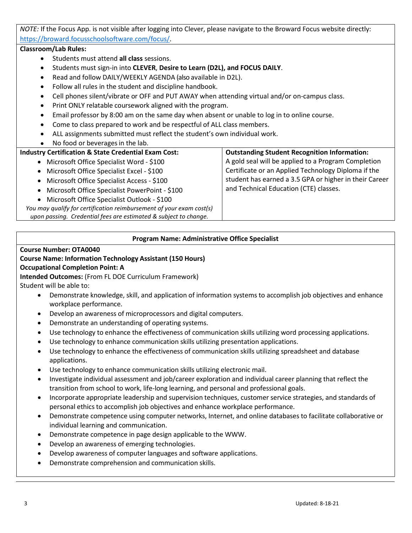*NOTE:* If the Focus App. is not visible after logging into Clever, please navigate to the Broward Focus website directly: [https://broward.focusschoolsoftware.com/focus/.](https://broward.focusschoolsoftware.com/focus/)

#### **Classroom/Lab Rules:**

- Students must attend **all class** sessions.
- Students must sign-in into **CLEVER**, **Desire to Learn (D2L), and FOCUS DAILY**.
- Read and follow DAILY/WEEKLY AGENDA (also available in D2L).
- Follow all rules in the student and discipline handbook.
- Cell phones silent/vibrate or OFF and PUT AWAY when attending virtual and/or on-campus class.
- Print ONLY relatable coursework aligned with the program.
- Email professor by 8:00 am on the same day when absent or unable to log in to online course.
- Come to class prepared to work and be respectful of ALL class members.
- ALL assignments submitted must reflect the student's own individual work.
- No food or beverages in the lab.

#### **Industry Certification & State Credential Exam Cost:**

• Microsoft Office Specialist Word - \$100 • Microsoft Office Specialist Excel - \$100 • Microsoft Office Specialist Access - \$100 • Microsoft Office Specialist PowerPoint - \$100 • Microsoft Office Specialist Outlook - \$100 *You may qualify for certification reimbursement of your exam cost(s) upon passing. Credential fees are estimated & subject to change.* **Outstanding Student Recognition Information:** A gold seal will be applied to a Program Completion Certificate or an Applied Technology Diploma if the student has earned a 3.5 GPA or higher in their Career and Technical Education (CTE) classes.

#### **Program Name: Administrative Office Specialist**

#### **Course Number: OTA0040**

#### **Course Name: Information Technology Assistant (150 Hours)**

#### **Occupational Completion Point: A**

**Intended Outcomes:** (From FL DOE Curriculum Framework)

- Student will be able to:
	- Demonstrate knowledge, skill, and application of information systems to accomplish job objectives and enhance workplace performance.
	- Develop an awareness of microprocessors and digital computers.
	- Demonstrate an understanding of operating systems.
	- Use technology to enhance the effectiveness of communication skills utilizing word processing applications.
	- Use technology to enhance communication skills utilizing presentation applications.
	- Use technology to enhance the effectiveness of communication skills utilizing spreadsheet and database applications.
	- Use technology to enhance communication skills utilizing electronic mail.
	- Investigate individual assessment and job/career exploration and individual career planning that reflect the transition from school to work, life-long learning, and personal and professional goals.
	- Incorporate appropriate leadership and supervision techniques, customer service strategies, and standards of personal ethics to accomplish job objectives and enhance workplace performance.
	- Demonstrate competence using computer networks, Internet, and online databases to facilitate collaborative or individual learning and communication.
	- Demonstrate competence in page design applicable to the WWW.
	- Develop an awareness of emerging technologies.
	- Develop awareness of computer languages and software applications.
	- Demonstrate comprehension and communication skills.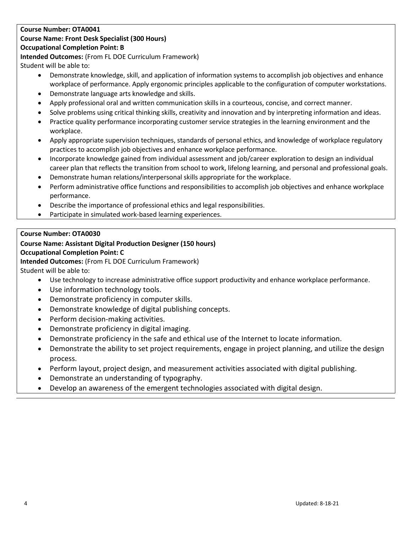#### **Course Number: OTA0041**

## **Course Name: Front Desk Specialist (300 Hours)**

#### **Occupational Completion Point: B**

**Intended Outcomes:** (From FL DOE Curriculum Framework)

Student will be able to:

- Demonstrate knowledge, skill, and application of information systems to accomplish job objectives and enhance workplace of performance. Apply ergonomic principles applicable to the configuration of computer workstations.
- Demonstrate language arts knowledge and skills.
- Apply professional oral and written communication skills in a courteous, concise, and correct manner.
- Solve problems using critical thinking skills, creativity and innovation and by interpreting information and ideas.
- Practice quality performance incorporating customer service strategies in the learning environment and the workplace.
- Apply appropriate supervision techniques, standards of personal ethics, and knowledge of workplace regulatory practices to accomplish job objectives and enhance workplace performance.
- Incorporate knowledge gained from individual assessment and job/career exploration to design an individual career plan that reflects the transition from school to work, lifelong learning, and personal and professional goals.
- Demonstrate human relations/interpersonal skills appropriate for the workplace.
- Perform administrative office functions and responsibilities to accomplish job objectives and enhance workplace performance.
- Describe the importance of professional ethics and legal responsibilities.
- Participate in simulated work-based learning experiences.

### **Course Number: OTA0030**

# **Course Name: Assistant Digital Production Designer (150 hours)**

## **Occupational Completion Point: C**

**Intended Outcomes:** (From FL DOE Curriculum Framework)

Student will be able to:

- Use technology to increase administrative office support productivity and enhance workplace performance.
- Use information technology tools.
- Demonstrate proficiency in computer skills.
- Demonstrate knowledge of digital publishing concepts.
- Perform decision-making activities.
- Demonstrate proficiency in digital imaging.
- Demonstrate proficiency in the safe and ethical use of the Internet to locate information.
- Demonstrate the ability to set project requirements, engage in project planning, and utilize the design process.
- Perform layout, project design, and measurement activities associated with digital publishing.
- Demonstrate an understanding of typography.
- Develop an awareness of the emergent technologies associated with digital design.